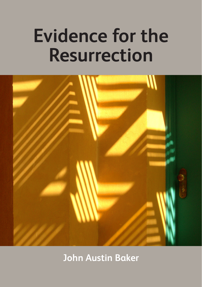# **Evidence for the Resurrection**



**John Austin Baker**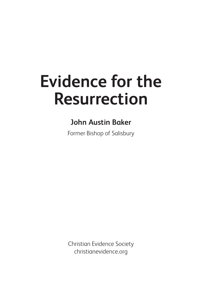## **Evidence for the Resurrection**

### **John Austin Baker**

Former Bishop of Salisbury

Christian Evidence Society christianevidence.org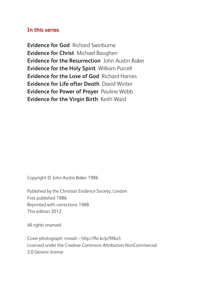#### **In this series**

**Evidence for God** Richard Swinburne **Evidence for Christ** Michael Baughen **Evidence for the Resurrection** John Austin Baker **Evidence for the Holy Spirit** William Purcell **Evidence for the Love of God** Richard Harries **Evidence for Life after Death** David Winter **Evidence for Power of Prayer** Pauline Webb **Evidence for the Virgin Birth** Keith Ward

Copyright © John Austin Baker 1986

Published by the Christian Evidence Society, London First published 1986 Reprinted with corrections 1988 This edition 2012

All rights reserved

Cover photograph: mnadi – http://flic.kr/p/9XkxS Licensed under the Creative Commons Attribution-NonCommercial 2.0 Generic license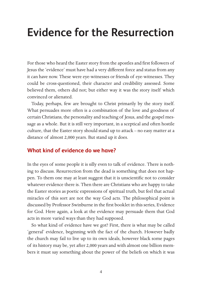## **Evidence for the Resurrection**

For those who heard the Easter story from the apostles and first followers of Jesus the 'evidence' must have had a very different force and status from any it can have now. These were eye-witnesses or friends of eye-witnesses. They could be cross-questioned, their character and credibility assessed. Some believed them, others did not; but either way it was the story itself which convinced or alienated.

Today, perhaps, few are brought to Christ primarily by the story itself. What persuades more often is a combination of the love and goodness of certain Christians, the personality and teaching of Jesus, and the gospel message as a whole. But it is still very important, in a sceptical and often hostile culture, that the Easter story should stand up to attack – no easy matter at a distance of almost 2,000 years. But stand up it does.

#### **What kind of evidence do we have?**

In the eyes of some people it is silly even to talk of evidence. There is nothing to discuss. Resurrection from the dead is something that does not happen. To them one may at least suggest that it is unscientific not to consider whatever evidence there is. Then there are Christians who are happy to take the Easter stories as poetic expressions of spiritual truth, but feel that actual miracles of this sort are not the way God acts. The philosophical point is discussed by Professor Swinburne in the first booklet in this series, Evidence for God. Here again, a look at the evidence may persuade them that God acts in more varied ways than they had supposed.

So what kind of evidence have we got? First, there is what may be called 'general' evidence, beginning with the fact of the church. However badly the church may fail to live up to its own ideals, however black some pages of its history may be, yet after 2,000 years and with almost one billion members it must say something about the power of the beliefs on which it was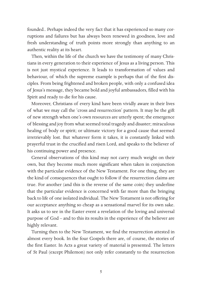founded.. Perhaps indeed the very fact that it has experienced so many corruptions and failures but has always been renewed in goodness, love and fresh understanding of truth points more strongly than anything to an authentic reality at its heart.

Then, within the life of the church we have the testimony of many Christians in every generation to their experience of Jesus as a living person. This is not just mystical experience. It leads to transformation of values and behaviour, of which the supreme example is perhaps that of the first disciples. From being frightened and broken people, with only a confused idea of Jesus's message, they became bold and joyful ambassadors, filled with his Spirit and ready to die for his cause.

Moreover, Christians of every kind have been vividly aware in their lives of what we may call the 'cross and resurrection' pattern. It may be the gift of new strength when one's own resources are utterly spent; the emergence of blessing and joy from what seemed total tragedy and disaster; miraculous healing of body or spirit; or ultimate victory for a good cause that seemed irretrievably lost. But whatever form it takes, it is constantly linked with prayerful trust in the crucified and risen Lord, and speaks to the believer of his continuing power and presence.

General observations of this kind may not carry much weight on their own, but they become much more significant when taken in conjunction with the particular evidence of the New Testament. For one thing, they are the kind of consequences that ought to follow if the resurrection claims are true. For another (and this is the reverse of the same coin) they underline that the particular evidence is concerned with far more than the bringing back to life of one isolated individual. The New Testament is not offering for our acceptance anything so cheap as a sensational marvel for its own sake. It asks us to see in the Easter event a revelation of the loving and universal purpose of God – and to this its results in the experience of the believer are highly relevant.

Turning then to the New Testament, we find the resurrection attested in almost every book. In the four Gospels there are, of course, the stories of the first Easter. In Acts a great variety of material is presented. The letters of St Paul (except Philemon) not only refer constantly to the resurrection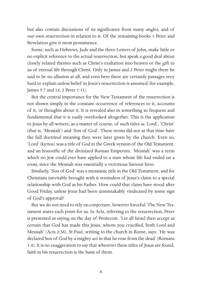but also contain discussions of its significance from many angles, and of our own resurrection in relation to it. Of the remaining books 1 Peter and Revelation give it most prominence.

Some, such as Hebrews, Jude and the three Letters of John, make little or no explicit reference to the actual resurrection, but speak a good deal about closely related themes such as Christ's exaltation into heaven or the gift to us of eternal life through Christ. Only in James and 2 Peter might there be said to be no allusion at all, and even here there are certainly passages very hard to explain unless belief in Jesus's resurrection is assumed (for example, James 5:7 and 14; 2 Peter 1:11).

But the central importance for the New Testament of the resurrection is not shown simply in the constant occurrence of references to it, accounts of it, or thoughts about it. It is revealed also in something so frequent and fundamental that it is easily overlooked altogether. This is the application to Jesus by all writers, as a matter of course, of such titles as 'Lord', 'Christ' (that is, 'Messiah') and 'Son of God'. These terms did not at that time have the full doctrinal meaning they were later given by the church. Even so, 'Lord' (kyrios) was a title of God in the Greek version of the Old Testament, and an honorific of the divinized Roman Emperors. 'Messiah' was a term which no Jew could ever have applied to a man whose life had ended on a cross, since the Messiah was essentially a victorious Saviour hero.

Similarly, 'Son of God' was a messianic title in the Old Testament, and for Christians inevitably brought with it reminders of Jesus's claim to a special relationship with God as his Father. How could that claim have stood after Good Friday, unless Jesus had been unmistakably vindicated by some sign of God's approval?

But we do not need to rely on conjecture, however forceful. The New Testament states each point for us. In Acts, referring to the resurrection, Peter is presented as saying on the day of Pentecost, 'Let all Israel then accept as certain that God has made this Jesus, whom you crucified, both Lord and Messiah' (Acts 2:36). St Paul, writing to the church in Rome, says: 'He was declared Son of God by a mighty act in that he rose from the dead' (Romans 1:4). It is no exaggeration to say that wherever these titles of Jesus are found, faith in his resurrection is the basis of them.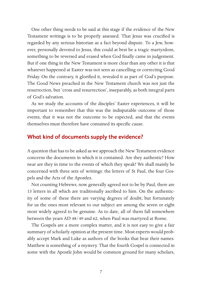One other thing needs to be said at this stage if the evidence of the New Testament writings is to be properly assessed. That Jesus was crucified is regarded by any serious historian as a fact beyond dispute. To a Jew, however, personally devoted to Jesus, this could at best be a tragic martyrdom, something to be reversed and erased when God finally came in judgement. But if one thing in the New Testament is more clear than any other it is that whatever happened at Easter was not seen as cancelling or correcting Good Friday. On the contrary, it glorified it, revealed it as part of God's purpose. The Good News preached in the New Testament church was not just the resurrection, but 'cross and resurrection', inseparably, as both integral parts of God's salvation.

As we study the accounts of the disciples' Easter experiences, it will be important to remember that this was the indisputable outcome of those events, that it was not the outcome to be expected, and that the events themselves must therefore have contained its specific cause.

#### **What kind of documents supply the evidence?**

A question that has to be asked as we approach the New Testament evidence concerns the documents in which it is contained. Are they authentic? How near are they in time to the events of which they speak? We shall mainly be concerned with three sets of writings: the letters of St Paul, the four Gospels and the Acts of the Apostles.

Not counting Hebrews, now generally agreed not to be by Paul, there are 13 letters in all which are traditionally ascribed to him. On the authenticity of some of these there are varying degrees of doubt; but fortunately for us the ones most relevant to our subject are among the seven or eight most widely agreed to be genuine. As to date, all of them fall somewhere between the years AD 48/49 and 62, when Paul was martyred at Rome.

The Gospels are a more complex matter, and it is not easy to give a fair summary of scholarly opinion at the present time. Most experts would probably accept Mark and Luke as authors of the books that bear their names. Matthew is something of a mystery. That the fourth Gospel is connected in some with the Apostle John would be common ground for many scholars,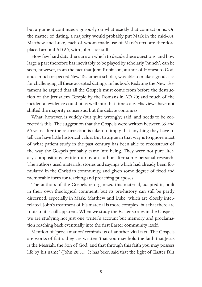but argument continues vigorously on what exactly that connection is. On the matter of dating, a majority would probably put Mark in the mid-60s. Matthew and Luke, each of whom made use of Mark's text, are therefore placed around AD 80, with John later still.

How few hard data there are on which to decide these questions, and how large a part therefore has inevitably to be played by scholarly 'hunch', can be seen, however, from the fact that John Robinson, author of Honest to God, and a much respected New Testament scholar, was able to make a good case for challenging all these accepted datings. In his book Redating the New Testament he argued that all the Gospels must come from before the destruction of the Jerusalem Temple by the Romans in AD 70; and much of the incidental evidence could fit as well into that timescale. His views have not shifted the majority consensus, but the debate continues.

What, however, is widely (but quite wrongly) said, and needs to be corrected is this. The suggestion that the Gospels were written between 35 and 60 years after the resurrection is taken to imply that anything they have to tell can have little historical value. But to argue in that way is to ignore most of what patient study in the past century has been able to reconstruct of the way the Gospels probably came into being. They were not pure literary compositions, written up by an author after some personal research. The authors used materials, stories and sayings which had already been formulated in the Christian community, and given some degree of fixed and memorable form for teaching and preaching purposes.

The authors of the Gospels re-organized this material, adapted it, built in their own theological comment; but its pre-history can still be partly discerned, especially in Mark, Matthew and Luke, which are closely interrelated. John's treatment of his material is more complex, but that there are roots to it is still apparent. When we study the Easter stories in the Gospels, we are studying not just one writer's account but memory and proclamation reaching back eventually into the first Easter community itself.

Mention of 'proclamation' reminds us of another vital fact. The Gospels are works of faith: they are written 'that you may hold the faith that Jesus is the Messiah, the Son of God, and that through this faith you may possess life by his name' (John 20:31). It has been said that the light of Easter falls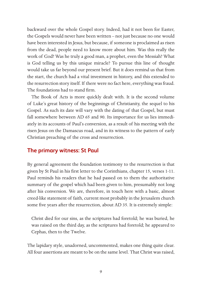backward over the whole Gospel story. Indeed, had it not been for Easter, the Gospels would never have been written – not just because no one would have been interested in Jesus, but because, if someone is proclaimed as risen from the dead, people need to know more about him. Was this really the work of God? Was he truly a good man, a prophet, even the Messiah? What is God telling us by this unique miracle? To pursue this line of thought would take us far beyond our present brief. But it does remind us that from the start, the church had a vital investment in history, and this extended to the resurrection story itself. If there were no fact here, everything was fraud. The foundations had to stand firm.

The Book of Acts is more quickly dealt with. It is the second volume of Luke's great history of the beginnings of Christianity, the sequel to his Gospel. As such its date will vary with the dating of that Gospel, but must fall somewhere between AD 65 and 90. Its importance for us lies immediately in its accounts of Paul's conversion, as a result of his meeting with the risen Jesus on the Damascus road, and in its witness to the pattern of early Christian preaching of the cross and resurrection.

#### **The primary witness: St Paul**

By general agreement the foundation testimony to the resurrection is that given by St Paul in his first letter to the Corinthians, chapter 15, verses 1-11. Paul reminds his readers that he had passed on to them the authoritative summary of the gospel which had been given to him, presumably not long after his conversion. We are, therefore, in touch here with a basic, almost creed-like statement of faith, current most probably in the Jerusalem church some five years after the resurrection, about AD 35. It is extremely simple:

Christ died for our sins, as the scriptures had foretold; he was buried, he was raised on the third day, as the scriptures had foretold; he appeared to Cephas, then to the Twelve.

The lapidary style, unadorned, uncommented, makes one thing quite clear. All four assertions are meant to be on the same level. That Christ was raised,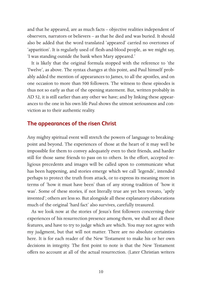and that he appeared, are as much facts – objective realities independent of observers, narrators or believers – as that he died and was buried. It should also be added that the word translated 'appeared' carried no overtones of 'apparition'. It is regularly used of flesh-and-blood people, as we might say, 'I was standing outside the bank when Mary appeared.'

It is likely that the original formula stopped with the reference to 'the Twelve', as above. The syntax changes at this point, and Paul himself probably added the mention of appearances to James, to all the apostles, and on one occasion to more than 500 followers. The witness to these episodes is thus not so early as that of the opening statement. But, written probably in AD 52, it is still earlier than any other we have; and by linking these appearances to the one in his own life Paul shows the utmost seriousness and conviction as to their authentic reality.

#### **The appearances of the risen Christ**

Any mighty spiritual event will stretch the powers of language to breakingpoint and beyond. The experiences of those at the heart of it may well be impossible for them to convey adequately even to their friends, and harder still for those same friends to pass on to others. In the effort, accepted religious precedents and images will be called upon to communicate what has been happening, and stories emerge which we call 'legends', intended perhaps to protect the truth from attack, or to express its meaning more in terms of 'how it must have been' than of any strong tradition of 'how it was'. Some of these stories, if not literally true are yet ben trovato, 'aptly invented'; others are less so. But alongside all these explanatory elaborations much of the original 'hard fact' also survives, carefully treasured.

As we look now at the stories of Jesus's first followers concerning their experiences of his resurrection presence among them, we shall see all these features, and have to try to judge which are which. You may not agree with my judgment, but that will not matter. There are no absolute certainties here. It is for each reader of the New Testament to make his or her own decisions in integrity. The first point to note is that the New Testament offers no account at all of the actual resurrection. (Later Christian writers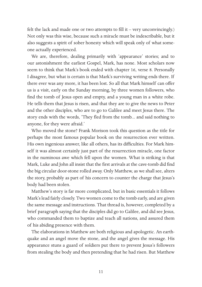felt the lack and made one or two attempts to fill it – very unconvincingly.) Not only was this wise, because such a miracle must be indescribable, but it also suggests a spirit of sober honesty which will speak only of what someone actually experienced.

We are, therefore, dealing primarily with 'appearance' stories; and to our astonishment the earliest Gospel, Mark, has none. Most scholars now seem to think that Mark's book ended with chapter 16, verse 8. Personally I disagree, but what is certain is that Mark's surviving writing ends there. If there ever was any more, it has been lost. So all that Mark himself can offer us is a visit, early on the Sunday morning, by three women followers, who find the tomb of Jesus open and empty, and a young man in a white robe. He tells them that Jesus is risen, and that they are to give the news to Peter and the other disciples, who are to go to Galilee and meet Jesus there. The story ends with the words, 'They fled from the tomb... and said nothing to anyone, for they were afraid.'

Who moved the stone? Frank Morison took this question as the title for perhaps the most famous popular book on the resurrection ever written. His own ingenious answer, like all others, has its difficulties. For Mark himself it was almost certainly just part of the resurrection miracle, one factor in the numinous awe which fell upon the women. What is striking is that Mark, Luke and John all insist that the first arrivals at the cave-tomb did find the big circular door-stone rolled away. Only Matthew, as we shall see, alters the story, probably as part of his concern to counter the charge that Jesus's body had been stolen.

Matthew's story is far more complicated, but in basic essentials it follows Mark's lead fairly closely. Two women come to the tomb early, and are given the same message and instructions. That thread is, however, completed by a brief paragraph saying that the disciples did go to Galilee, and did see Jesus, who commanded them to baptize and teach all nations, and assured them of his abiding presence with them.

The elaborations in Matthew are both religious and apologetic. An earthquake and an angel move the stone, and the angel gives the message. His appearance stuns a guard of soldiers put there to prevent Jesus's followers from stealing the body and then pretending that he had risen. But Matthew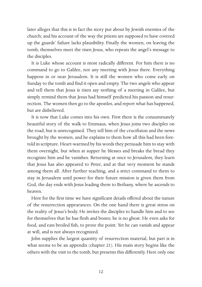later alleges that this is in fact the story put about by Jewish enemies of the church; and his account of the way the priests are supposed to have covered up the guards' failure lacks plausibility. Finally the women, on leaving the tomb, themselves meet the risen Jesus, who repeats the angel's message to the disciples.

It is Luke whose account is most radically different. For him there is no command to go to Galilee, nor any meeting with Jesus there. Everything happens in or near Jerusalem. It is still the women who come early on Sunday to the tomb and find it open and empty. The two angels who appear and tell them that Jesus is risen say nothing of a meeting in Galilee, but simply remind them that Jesus had himself predicted his passion and resurrection. The women then go to the apostles, and report what has happened, but are disbelieved.

It is now that Luke comes into his own. First there is the consummately beautiful story of the walk to Emmaus, when Jesus joins two disciples on the road, but is unrecognised. They tell him of the crucifixion and the news brought by the women, and he explains to them how all this had been foretold in scripture. Heart-warmed by his words they persuade him to stay with them overnight, but when at supper he blesses and breaks the bread they recognize him and he vanishes. Returning at once to Jerusalem, they learn that Jesus has also appeared to Peter, and at that very moment he stands among them all. After further teaching, and a strict command to them to stay in Jerusalem until power for their future mission is given them from God, the day ends with Jesus leading them to Bethany, where he ascends to heaven.

Here for the first time we have significant details offered about the nature of the resurrection appearances. On the one hand there is great stress on the reality of Jesus's body. He invites the disciples to handle him and to see for themselves that he has flesh and bones; he is no ghost. He even asks for food, and eats broiled fish, to prove the point. Yet he can vanish and appear at will, and is not always recognized.

John supplies the largest quantity of resurrection material, but part is in what seems to be an appendix (chapter 21). His main story begins like the others with the visit to the tomb, but presents this differently. Here only one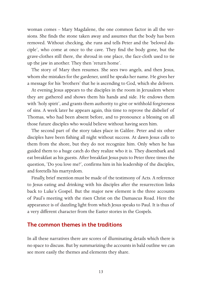woman comes – Mary Magdalene, the one common factor in all the versions. She finds the stone taken away and assumes that the body has been removed. Without checking, she runs and tells Peter and the 'beloved disciple', who come at once to the cave. They find the body gone, but the grave-clothes still there, the shroud in one place, the face-cloth used to tie up the jaw in another. They then 'return home'.

The story of Mary then resumes. She sees two angels, and then Jesus, whom she mistakes for the gardener, until he speaks her name. He gives her a message for his 'brothers' that he is ascending to God, which she delivers.

At evening Jesus appears to the disciples in the room in Jerusalem where they are gathered and shows them his hands and side. He endows them with 'holy spirit', and grants them authority to give or withhold forgiveness of sins. A week later he appears again, this time to reprove the disbelief of Thomas, who had been absent before, and to pronounce a blessing on all those future disciples who would believe without having seen him.

The second part of the story takes place in Galilee. Peter and six other disciples have been fishing all night without success. At dawn Jesus calls to them from the shore, but they do not recognize him. Only when he has guided them to a huge catch do they realize who it is. They disembark and eat breakfast as his guests. After breakfast Jesus puts to Peter three times the question, 'Do you love me?', confirms him in his leadership of the disciples, and foretells his martyrdom.

Finally, brief mention must be made of the testimony of Acts. A reference to Jesus eating and drinking with his disciples after the resurrection links back to Luke's Gospel. But the major new element is the three accounts of Paul's meeting with the risen Christ on the Damascus Road. Here the appearance is of dazzling light from which Jesus speaks to Paul. It is thus of a very different character from the Easter stories in the Gospels.

#### **The common themes in the traditions**

In all these narratives there are scores of illuminating details which there is no space to discuss. But by summarizing the accounts in bald outline we can see more easily the themes and elements they share.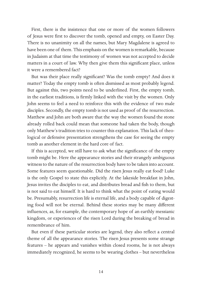First, there is the insistence that one or more of the women followers of Jesus were first to discover the tomb, opened and empty, on Easter Day. There is no unanimity on all the names, but Mary Magdalene is agreed to have been one of them. This emphasis on the women is remarkable, because in Judaism at that time the testimony of women was not accepted to decide matters in a court of law. Why then give them this significant place, unless it were a remembered fact?

But was their place really significant? Was the tomb empty? And does it matter? Today the empty tomb is often dismissed as most probably legend. But against this, two points need to be underlined. First, the empty tomb, in the earliest traditions, is firmly linked with the visit by the women. Only John seems to feel a need to reinforce this with the evidence of two male disciples. Secondly, the empty tomb is not used as proof of the resurrection. Matthew and John are both aware that the way the women found the stone already rolled back could mean that someone had taken the body, though only Matthew's tradition tries to counter this explanation. This lack of theological or defensive presentation strengthens the case for seeing the empty tomb as another element in the hard core of fact.

If this is accepted, we still have to ask what the significance of the empty tomb might be. Here the appearance stories and their strangely ambiguous witness to the nature of the resurrection body have to be taken into account. Some features seem questionable. Did the risen Jesus really eat food? Luke is the only Gospel to state this explicitly. At the lakeside breakfast in John, Jesus invites the disciples to eat, and distributes bread and fish to them, but is not said to eat himself. It is hard to think what the point of eating would be. Presumably, resurrection life is eternal life, and a body capable of digesting food will not be eternal. Behind these stories may be many different influences, as, for example, the contemporary hope of an earthly messianic kingdom, or experiences of the risen Lord during the breaking of bread in remembrance of him.

But even if these particular stories are legend, they also reflect a central theme of all the appearance stories. The risen Jesus presents some strange features – he appears and vanishes within closed rooms, he is not always immediately recognized, he seems to be wearing clothes – but nevertheless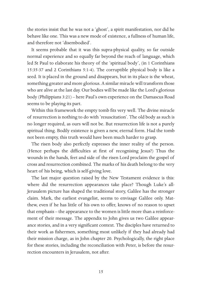the stories insist that he was not a 'ghost', a spirit manifestation, nor did he behave like one. This was a new mode of existence, a fullness of human life, and therefore not 'disembodied'.

It seems probable that it was this supra-physical quality, so far outside normal experience and so equally far beyond the reach of language, which led St Paul to elaborate his theory of the 'spiritual body', (in 1 Corinthians 15:35-37 and 2 Corinthians 5:1-4). The corruptible physical body is like a seed. It is placed in the ground and disappears, but in its place is the wheat, something greater and more glorious. A similar miracle will transform those who are alive at the last day. Our bodies will be made like the Lord's glorious body (Philippians 3:21) – here Paul's own experience on the Damascus Road seems to be playing its part.

Within this framework the empty tomb fits very well. The divine miracle of resurrection is nothing to do with 'resuscitation'. The old body as such is no longer required, as ours will not be. But resurrection life is not a purely spiritual thing. Bodily existence is given a new, eternal form. Had the tomb not been empty, this truth would have been much harder to grasp.

The risen body also perfectly expresses the inner reality of the person. (Hence perhaps the difficulties at first of recognising Jesus?) Thus the wounds in the hands, feet and side of the risen Lord proclaim the gospel of cross and resurrection combined. The marks of his death belong to the very heart of his being, which is self-giving love.

The last major question raised by the New Testament evidence is this: where did the resurrection appearances take place? Though Luke's all-Jerusalem picture has shaped the traditional story, Galilee has the stronger claim. Mark, the earliest evangelist, seems to envisage Galilee only. Matthew, even if he has little of his own to offer, knows of no reason to upset that emphasis – the appearance to the women is little more than a reinforcement of their message. The appendix to John gives us two Galilee appearance stories, and in a very significant context. The disciples have returned to their work as fishermen, something most unlikely if they had already had their mission charge, as in John chapter 20. Psychologically, the right place for these stories, including the reconciliation with Peter, is before the resurrection encounters in Jerusalem, not after.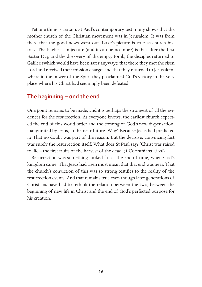Yet one thing is certain. St Paul's contemporary testimony shows that the mother church of the Christian movement was in Jerusalem. It was from there that the good news went out. Luke's picture is true as church history. The likeliest conjecture (and it can be no more) is that after the first Easter Day, and the discovery of the empty tomb, the disciples returned to Galilee (which would have been safer anyway); that there they met the risen Lord and received their mission charge; and that they returned to Jerusalem, where in the power of the Spirit they proclaimed God's victory in the very place where his Christ had seemingly been defeated.

#### **The beginning – and the end**

One point remains to be made, and it is perhaps the strongest of all the evidences for the resurrection. As everyone knows, the earliest church expected the end of this world-order and the coming of God's new dispensation, inaugurated by Jesus, in the near future. Why? Because Jesus had predicted it? That no doubt was part of the reason. But the decisive, convincing fact was surely the resurrection itself. What does St Paul say? 'Christ was raised to life – the first fruits of the harvest of the dead' (1 Corinthians 15:20).

Resurrection was something looked for at the end of time, when God's kingdom came. That Jesus had risen must mean that that end was near. That the church's conviction of this was so strong testifies to the reality of the resurrection events. And that remains true even though later generations of Christians have had to rethink the relation between the two, between the beginning of new life in Christ and the end of God's perfected purpose for his creation.